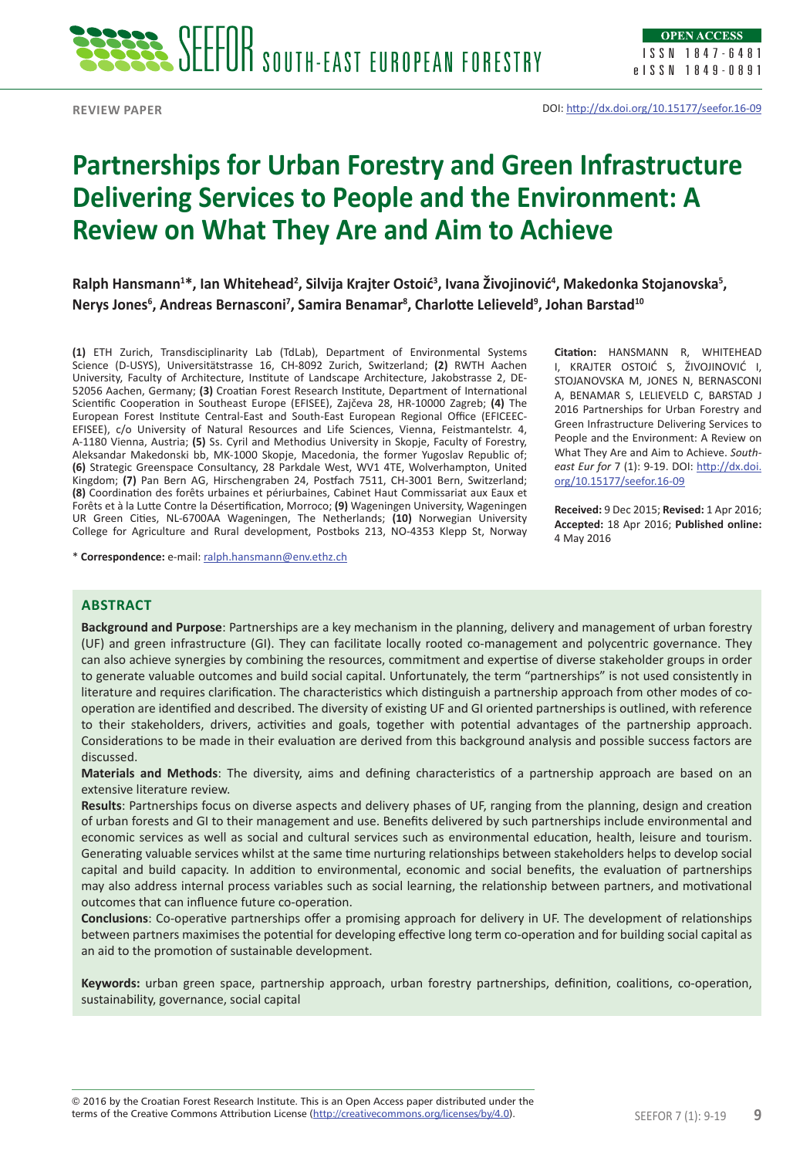

**Review paper**

# **Partnerships for Urban Forestry and Green Infrastructure Delivering Services to People and the Environment: A Review on What They Are and Aim to Achieve**

 $R$ alph Hansmann<sup>1</sup>\*, Ian Whitehead<sup>2</sup>, Silvija Krajter Ostoić<sup>3</sup>, Ivana Živojinović<sup>4</sup>, Makedonka Stojanovska<sup>5</sup>, **Nerys Jones6 , Andreas Bernasconi7 , Samira Benamar8 , Charlotte Lelieveld<sup>9</sup> , Johan Barstad10**

**(1)** ETH Zurich, Transdisciplinarity Lab (TdLab), Department of Environmental Systems Science (D-USYS), Universitätstrasse 16, CH-8092 Zurich, Switzerland; **(2)** RWTH Aachen University, Faculty of Architecture, Institute of Landscape Architecture, Jakobstrasse 2, DE-52056 Aachen, Germany; **(3)** Croatian Forest Research Institute, Department of International Scientific Cooperation in Southeast Europe (EFISEE), Zajčeva 28, HR-10000 Zagreb; **(4)** The European Forest Institute Central-East and South-East European Regional Office (EFICEEC-EFISEE), c/o University of Natural Resources and Life Sciences, Vienna, Feistmantelstr. 4, A-1180 Vienna, Austria; **(5)** Ss. Cyril and Methodius University in Skopje, Faculty of Forestry, Aleksandar Makedonski bb, MK-1000 Skopje, Macedonia, the former Yugoslav Republic of; **(6)** Strategic Greenspace Consultancy, 28 Parkdale West, WV1 4TE, Wolverhampton, United Kingdom; **(7)** Pan Bern AG, Hirschengraben 24, Postfach 7511, CH-3001 Bern, Switzerland; **(8)** Coordination des forêts urbaines et périurbaines, Cabinet Haut Commissariat aux Eaux et Forêts et à la Lutte Contre la Désertification, Morroco; **(9)** Wageningen University, Wageningen UR Green Cities, NL-6700AA Wageningen, The Netherlands; **(10)** Norwegian University College for Agriculture and Rural development, Postboks 213, NO-4353 Klepp St, Norway

\* **Correspondence:** e-mail: ralph.hansmann@env.ethz.ch

**Citation:** HANSMANN R, WHITEHEAD I, KRAJTER OSTOIĆ S, ŽIVOJINOVIĆ I, STOJANOVSKA M, JONES N, BERNASCONI A, BENAMAR S, LELIEVELD C, BARSTAD J 2016 Partnerships for Urban Forestry and Green Infrastructure Delivering Services to People and the Environment: A Review on What They Are and Aim to Achieve. *Southeast Eur for* 7 (1): 9-19. DOI: http://dx.doi. org/10.15177/seefor.16-09

**Received:** 9 Dec 2015; **Revised:** 1 Apr 2016; **Accepted:** 18 Apr 2016; **Published online:** 4 May 2016

# **Abstract**

**Background and Purpose**: Partnerships are a key mechanism in the planning, delivery and management of urban forestry (UF) and green infrastructure (GI). They can facilitate locally rooted co-management and polycentric governance. They can also achieve synergies by combining the resources, commitment and expertise of diverse stakeholder groups in order to generate valuable outcomes and build social capital. Unfortunately, the term "partnerships" is not used consistently in literature and requires clarification. The characteristics which distinguish a partnership approach from other modes of cooperation are identified and described. The diversity of existing UF and GI oriented partnerships is outlined, with reference to their stakeholders, drivers, activities and goals, together with potential advantages of the partnership approach. Considerations to be made in their evaluation are derived from this background analysis and possible success factors are discussed.

**Materials and Methods**: The diversity, aims and defining characteristics of a partnership approach are based on an extensive literature review.

**Results**: Partnerships focus on diverse aspects and delivery phases of UF, ranging from the planning, design and creation of urban forests and GI to their management and use. Benefits delivered by such partnerships include environmental and economic services as well as social and cultural services such as environmental education, health, leisure and tourism. Generating valuable services whilst at the same time nurturing relationships between stakeholders helps to develop social capital and build capacity. In addition to environmental, economic and social benefits, the evaluation of partnerships may also address internal process variables such as social learning, the relationship between partners, and motivational outcomes that can influence future co-operation.

**Conclusions**: Co-operative partnerships offer a promising approach for delivery in UF. The development of relationships between partners maximises the potential for developing effective long term co-operation and for building social capital as an aid to the promotion of sustainable development.

**Keywords:** urban green space, partnership approach, urban forestry partnerships, definition, coalitions, co-operation, sustainability, governance, social capital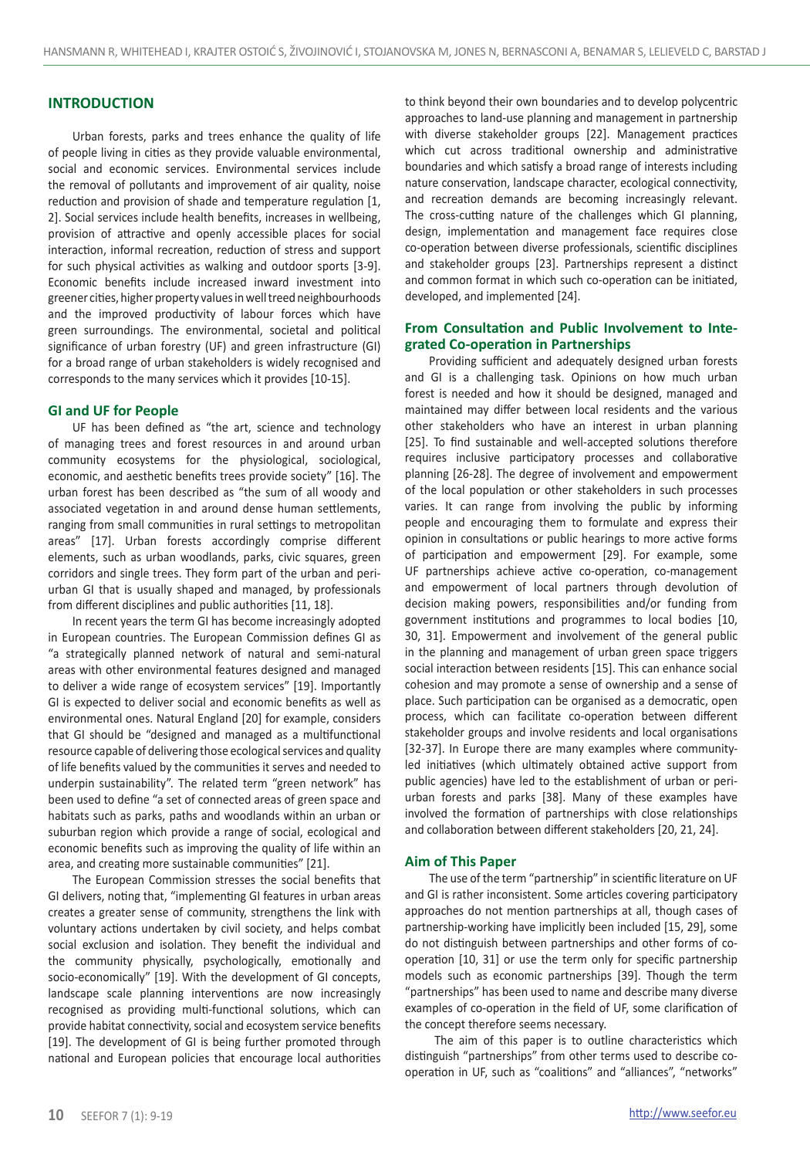## **INTRODUCTION**

Urban forests, parks and trees enhance the quality of life of people living in cities as they provide valuable environmental, social and economic services. Environmental services include the removal of pollutants and improvement of air quality, noise reduction and provision of shade and temperature regulation [1, 2]. Social services include health benefits, increases in wellbeing, provision of attractive and openly accessible places for social interaction, informal recreation, reduction of stress and support for such physical activities as walking and outdoor sports [3-9]. Economic benefits include increased inward investment into greener cities, higher property values in well treed neighbourhoods and the improved productivity of labour forces which have green surroundings. The environmental, societal and political significance of urban forestry (UF) and green infrastructure (GI) for a broad range of urban stakeholders is widely recognised and corresponds to the many services which it provides [10-15].

### **GI and UF for People**

UF has been defined as "the art, science and technology of managing trees and forest resources in and around urban community ecosystems for the physiological, sociological, economic, and aesthetic benefits trees provide society" [16]. The urban forest has been described as "the sum of all woody and associated vegetation in and around dense human settlements, ranging from small communities in rural settings to metropolitan areas" [17]. Urban forests accordingly comprise different elements, such as urban woodlands, parks, civic squares, green corridors and single trees. They form part of the urban and periurban GI that is usually shaped and managed, by professionals from different disciplines and public authorities [11, 18].

In recent years the term GI has become increasingly adopted in European countries. The European Commission defines GI as "a strategically planned network of natural and semi-natural areas with other environmental features designed and managed to deliver a wide range of ecosystem services" [19]. Importantly GI is expected to deliver social and economic benefits as well as environmental ones. Natural England [20] for example, considers that GI should be "designed and managed as a multifunctional resource capable of delivering those ecological services and quality of life benefits valued by the communities it serves and needed to underpin sustainability". The related term "green network" has been used to define "a set of connected areas of green space and habitats such as parks, paths and woodlands within an urban or suburban region which provide a range of social, ecological and economic benefits such as improving the quality of life within an area, and creating more sustainable communities" [21].

The European Commission stresses the social benefits that GI delivers, noting that, "implementing GI features in urban areas creates a greater sense of community, strengthens the link with voluntary actions undertaken by civil society, and helps combat social exclusion and isolation. They benefit the individual and the community physically, psychologically, emotionally and socio-economically" [19]. With the development of GI concepts, landscape scale planning interventions are now increasingly recognised as providing multi-functional solutions, which can provide habitat connectivity, social and ecosystem service benefits [19]. The development of GI is being further promoted through national and European policies that encourage local authorities

to think beyond their own boundaries and to develop polycentric approaches to land-use planning and management in partnership with diverse stakeholder groups [22]. Management practices which cut across traditional ownership and administrative boundaries and which satisfy a broad range of interests including nature conservation, landscape character, ecological connectivity, and recreation demands are becoming increasingly relevant. The cross-cutting nature of the challenges which GI planning, design, implementation and management face requires close co-operation between diverse professionals, scientific disciplines and stakeholder groups [23]. Partnerships represent a distinct and common format in which such co-operation can be initiated, developed, and implemented [24].

# **From Consultation and Public Involvement to Integrated Co-operation in Partnerships**

Providing sufficient and adequately designed urban forests and GI is a challenging task. Opinions on how much urban forest is needed and how it should be designed, managed and maintained may differ between local residents and the various other stakeholders who have an interest in urban planning [25]. To find sustainable and well-accepted solutions therefore requires inclusive participatory processes and collaborative planning [26-28]. The degree of involvement and empowerment of the local population or other stakeholders in such processes varies. It can range from involving the public by informing people and encouraging them to formulate and express their opinion in consultations or public hearings to more active forms of participation and empowerment [29]. For example, some UF partnerships achieve active co-operation, co-management and empowerment of local partners through devolution of decision making powers, responsibilities and/or funding from government institutions and programmes to local bodies [10, 30, 31]. Empowerment and involvement of the general public in the planning and management of urban green space triggers social interaction between residents [15]. This can enhance social cohesion and may promote a sense of ownership and a sense of place. Such participation can be organised as a democratic, open process, which can facilitate co-operation between different stakeholder groups and involve residents and local organisations [32-37]. In Europe there are many examples where communityled initiatives (which ultimately obtained active support from public agencies) have led to the establishment of urban or periurban forests and parks [38]. Many of these examples have involved the formation of partnerships with close relationships and collaboration between different stakeholders [20, 21, 24].

#### **Aim of This Paper**

The use of the term "partnership" in scientific literature on UF and GI is rather inconsistent. Some articles covering participatory approaches do not mention partnerships at all, though cases of partnership-working have implicitly been included [15, 29], some do not distinguish between partnerships and other forms of cooperation [10, 31] or use the term only for specific partnership models such as economic partnerships [39]. Though the term "partnerships" has been used to name and describe many diverse examples of co-operation in the field of UF, some clarification of the concept therefore seems necessary.

 The aim of this paper is to outline characteristics which distinguish "partnerships" from other terms used to describe cooperation in UF, such as "coalitions" and "alliances", "networks"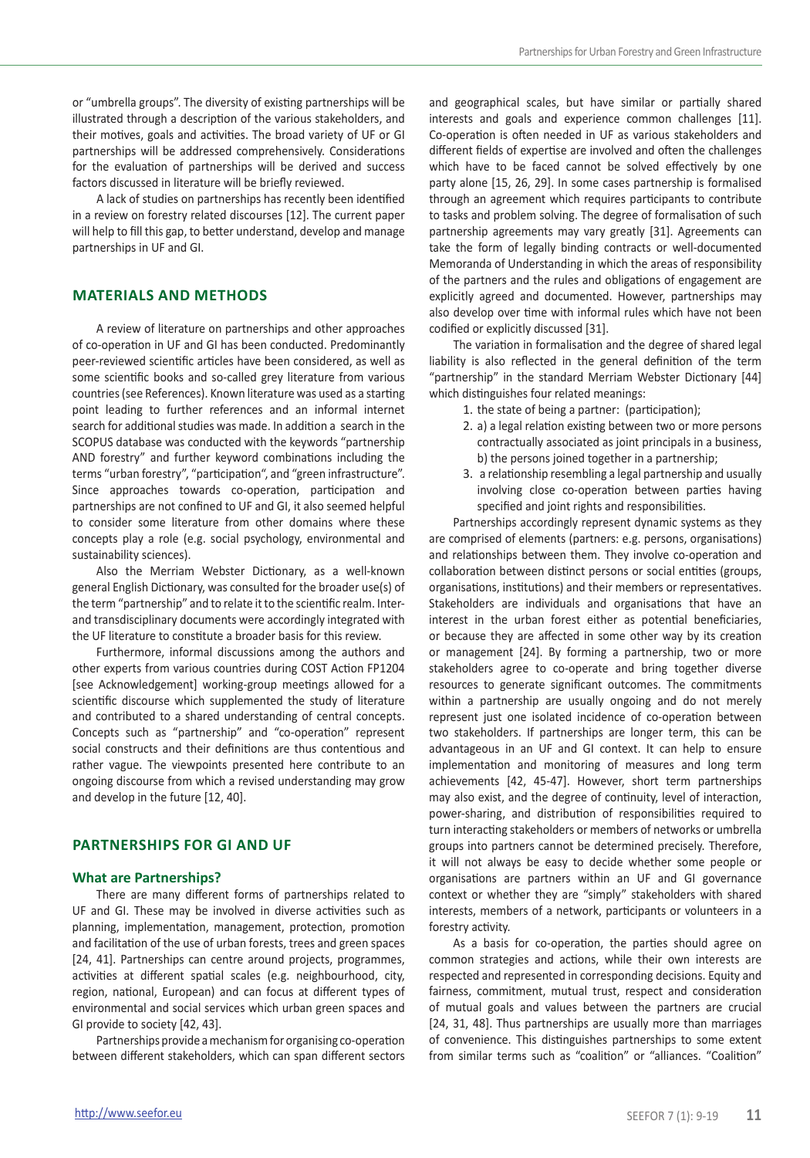or "umbrella groups". The diversity of existing partnerships will be illustrated through a description of the various stakeholders, and their motives, goals and activities. The broad variety of UF or GI partnerships will be addressed comprehensively. Considerations for the evaluation of partnerships will be derived and success factors discussed in literature will be briefly reviewed.

A lack of studies on partnerships has recently been identified in a review on forestry related discourses [12]. The current paper will help to fill this gap, to better understand, develop and manage partnerships in UF and GI.

# **Materials and Methods**

A review of literature on partnerships and other approaches of co-operation in UF and GI has been conducted. Predominantly peer-reviewed scientific articles have been considered, as well as some scientific books and so-called grey literature from various countries (see References). Known literature was used as a starting point leading to further references and an informal internet search for additional studies was made. In addition a search in the SCOPUS database was conducted with the keywords "partnership AND forestry" and further keyword combinations including the terms "urban forestry", "participation", and "green infrastructure". Since approaches towards co-operation, participation and partnerships are not confined to UF and GI, it also seemed helpful to consider some literature from other domains where these concepts play a role (e.g. social psychology, environmental and sustainability sciences).

Also the Merriam Webster Dictionary, as a well-known general English Dictionary, was consulted for the broader use(s) of the term "partnership" and to relate it to the scientific realm. Interand transdisciplinary documents were accordingly integrated with the UF literature to constitute a broader basis for this review.

Furthermore, informal discussions among the authors and other experts from various countries during COST Action FP1204 [see Acknowledgement] working-group meetings allowed for a scientific discourse which supplemented the study of literature and contributed to a shared understanding of central concepts. Concepts such as "partnership" and "co-operation" represent social constructs and their definitions are thus contentious and rather vague. The viewpoints presented here contribute to an ongoing discourse from which a revised understanding may grow and develop in the future [12, 40].

### **PARTNERSHIPS FOR GI AND UF**

#### **What are Partnerships?**

There are many different forms of partnerships related to UF and GI. These may be involved in diverse activities such as planning, implementation, management, protection, promotion and facilitation of the use of urban forests, trees and green spaces [24, 41]. Partnerships can centre around projects, programmes, activities at different spatial scales (e.g. neighbourhood, city, region, national, European) and can focus at different types of environmental and social services which urban green spaces and GI provide to society [42, 43].

Partnerships provide a mechanism for organising co-operation between different stakeholders, which can span different sectors

and geographical scales, but have similar or partially shared interests and goals and experience common challenges [11]. Co-operation is often needed in UF as various stakeholders and different fields of expertise are involved and often the challenges which have to be faced cannot be solved effectively by one party alone [15, 26, 29]. In some cases partnership is formalised through an agreement which requires participants to contribute to tasks and problem solving. The degree of formalisation of such partnership agreements may vary greatly [31]. Agreements can take the form of legally binding contracts or well-documented Memoranda of Understanding in which the areas of responsibility of the partners and the rules and obligations of engagement are explicitly agreed and documented. However, partnerships may also develop over time with informal rules which have not been codified or explicitly discussed [31].

The variation in formalisation and the degree of shared legal liability is also reflected in the general definition of the term "partnership" in the standard Merriam Webster Dictionary [44] which distinguishes four related meanings:

- 1. the state of being a partner: (participation);
- 2. a) a legal relation existing between two or more persons contractually associated as joint principals in a business, b) the persons joined together in a partnership;
- 3. a relationship resembling a legal partnership and usually involving close co-operation between parties having specified and joint rights and responsibilities.

Partnerships accordingly represent dynamic systems as they are comprised of elements (partners: e.g. persons, organisations) and relationships between them. They involve co-operation and collaboration between distinct persons or social entities (groups, organisations, institutions) and their members or representatives. Stakeholders are individuals and organisations that have an interest in the urban forest either as potential beneficiaries, or because they are affected in some other way by its creation or management [24]. By forming a partnership, two or more stakeholders agree to co-operate and bring together diverse resources to generate significant outcomes. The commitments within a partnership are usually ongoing and do not merely represent just one isolated incidence of co-operation between two stakeholders. If partnerships are longer term, this can be advantageous in an UF and GI context. It can help to ensure implementation and monitoring of measures and long term achievements [42, 45-47]. However, short term partnerships may also exist, and the degree of continuity, level of interaction, power-sharing, and distribution of responsibilities required to turn interacting stakeholders or members of networks or umbrella groups into partners cannot be determined precisely. Therefore, it will not always be easy to decide whether some people or organisations are partners within an UF and GI governance context or whether they are "simply" stakeholders with shared interests, members of a network, participants or volunteers in a forestry activity.

As a basis for co-operation, the parties should agree on common strategies and actions, while their own interests are respected and represented in corresponding decisions. Equity and fairness, commitment, mutual trust, respect and consideration of mutual goals and values between the partners are crucial [24, 31, 48]. Thus partnerships are usually more than marriages of convenience. This distinguishes partnerships to some extent from similar terms such as "coalition" or "alliances. "Coalition"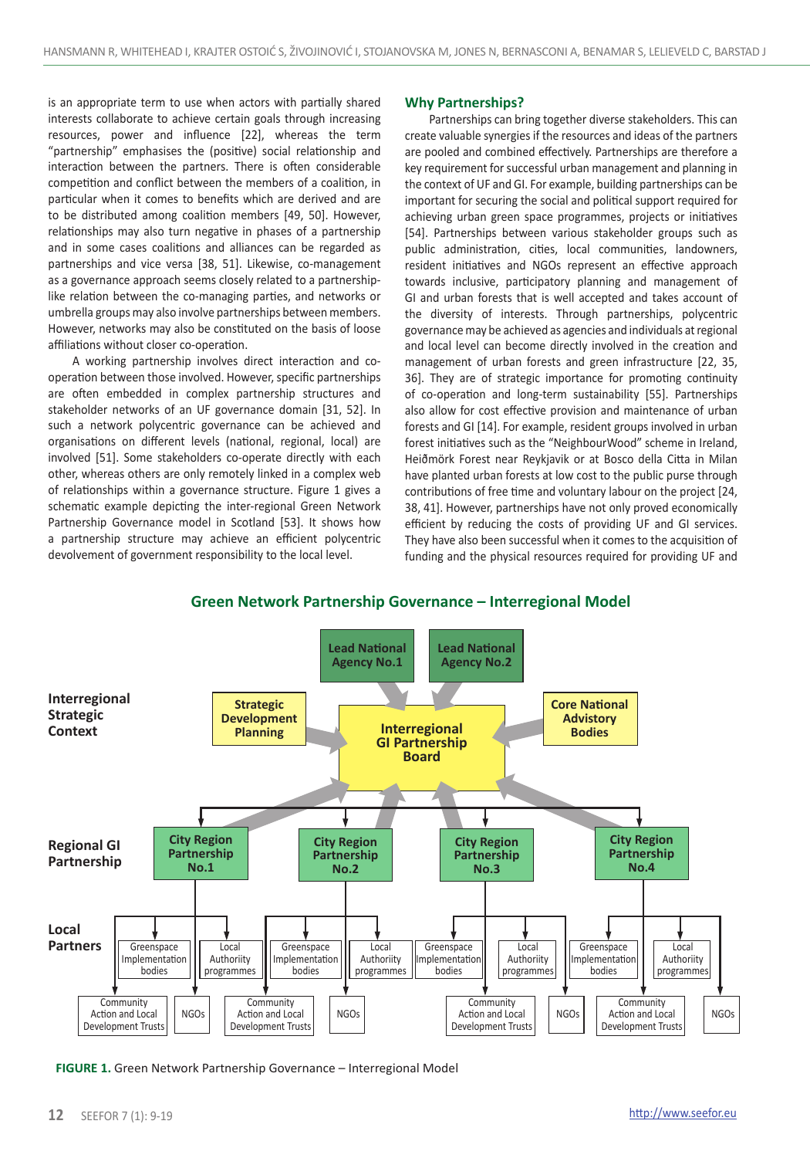is an appropriate term to use when actors with partially shared interests collaborate to achieve certain goals through increasing resources, power and influence [22], whereas the term "partnership" emphasises the (positive) social relationship and interaction between the partners. There is often considerable competition and conflict between the members of a coalition, in particular when it comes to benefits which are derived and are to be distributed among coalition members [49, 50]. However, relationships may also turn negative in phases of a partnership and in some cases coalitions and alliances can be regarded as partnerships and vice versa [38, 51]. Likewise, co-management as a governance approach seems closely related to a partnershiplike relation between the co-managing parties, and networks or umbrella groups may also involve partnerships between members. However, networks may also be constituted on the basis of loose affiliations without closer co-operation.

A working partnership involves direct interaction and cooperation between those involved. However, specific partnerships are often embedded in complex partnership structures and stakeholder networks of an UF governance domain [31, 52]. In such a network polycentric governance can be achieved and organisations on different levels (national, regional, local) are involved [51]. Some stakeholders co-operate directly with each other, whereas others are only remotely linked in a complex web of relationships within a governance structure. Figure 1 gives a schematic example depicting the inter-regional Green Network Partnership Governance model in Scotland [53]. It shows how a partnership structure may achieve an efficient polycentric devolvement of government responsibility to the local level.

## **Why Partnerships?**

Partnerships can bring together diverse stakeholders. This can create valuable synergies if the resources and ideas of the partners are pooled and combined effectively. Partnerships are therefore a key requirement for successful urban management and planning in the context of UF and GI. For example, building partnerships can be important for securing the social and political support required for achieving urban green space programmes, projects or initiatives [54]. Partnerships between various stakeholder groups such as public administration, cities, local communities, landowners, resident initiatives and NGOs represent an effective approach towards inclusive, participatory planning and management of GI and urban forests that is well accepted and takes account of the diversity of interests. Through partnerships, polycentric governance may be achieved as agencies and individuals at regional and local level can become directly involved in the creation and management of urban forests and green infrastructure [22, 35, 36]. They are of strategic importance for promoting continuity of co-operation and long-term sustainability [55]. Partnerships also allow for cost effective provision and maintenance of urban forests and GI [14]. For example, resident groups involved in urban forest initiatives such as the "NeighbourWood" scheme in Ireland, Heiðmörk Forest near Reykjavik or at Bosco della Citta in Milan have planted urban forests at low cost to the public purse through contributions of free time and voluntary labour on the project [24, 38, 41]. However, partnerships have not only proved economically efficient by reducing the costs of providing UF and GI services. They have also been successful when it comes to the acquisition of funding and the physical resources required for providing UF and



**FIGURE 1.** Green Network Partnership Governance – Interregional Model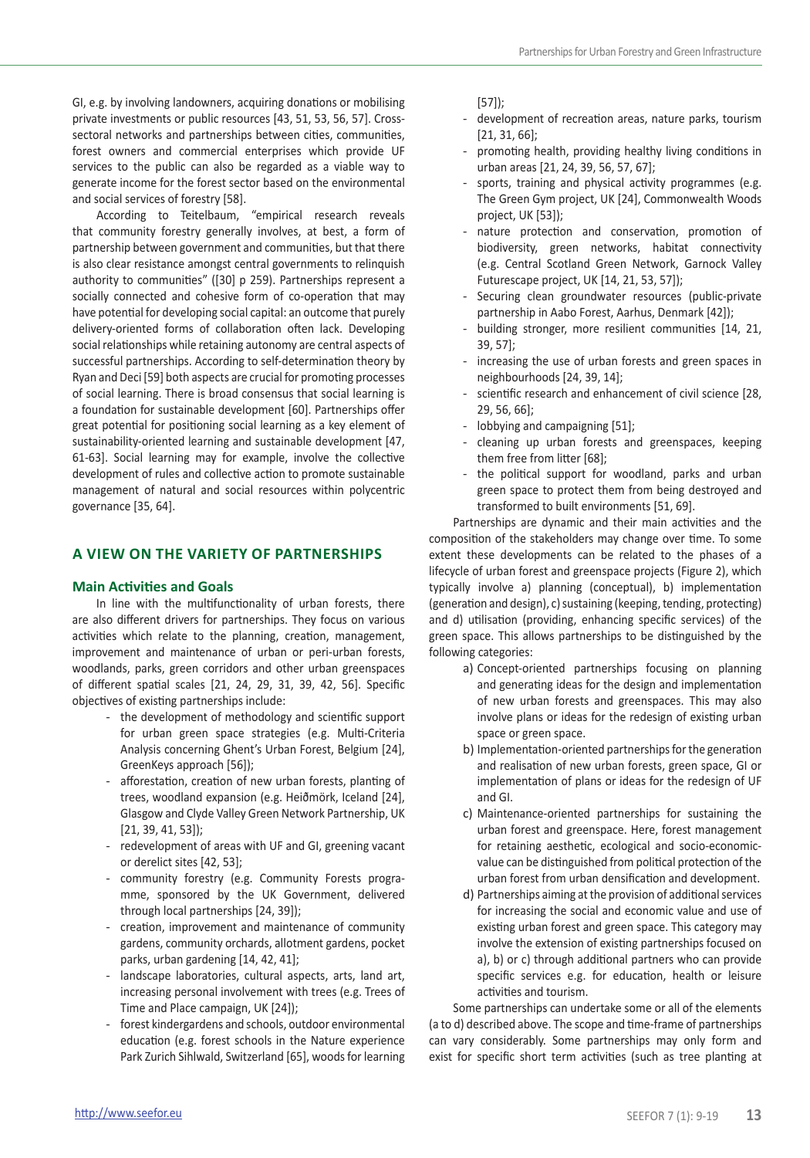GI, e.g. by involving landowners, acquiring donations or mobilising private investments or public resources [43, 51, 53, 56, 57]. Crosssectoral networks and partnerships between cities, communities, forest owners and commercial enterprises which provide UF services to the public can also be regarded as a viable way to generate income for the forest sector based on the environmental and social services of forestry [58].

According to Teitelbaum, "empirical research reveals that community forestry generally involves, at best, a form of partnership between government and communities, but that there is also clear resistance amongst central governments to relinquish authority to communities" ([30] p 259). Partnerships represent a socially connected and cohesive form of co-operation that may have potential for developing social capital: an outcome that purely delivery-oriented forms of collaboration often lack. Developing social relationships while retaining autonomy are central aspects of successful partnerships. According to self-determination theory by Ryan and Deci [59] both aspects are crucial for promoting processes of social learning. There is broad consensus that social learning is a foundation for sustainable development [60]. Partnerships offer great potential for positioning social learning as a key element of sustainability-oriented learning and sustainable development [47, 61-63]. Social learning may for example, involve the collective development of rules and collective action to promote sustainable management of natural and social resources within polycentric governance [35, 64].

# **A VIEW ON THE VARIETY OF PARTNERSHIPS**

## **Main Activities and Goals**

In line with the multifunctionality of urban forests, there are also different drivers for partnerships. They focus on various activities which relate to the planning, creation, management, improvement and maintenance of urban or peri-urban forests, woodlands, parks, green corridors and other urban greenspaces of different spatial scales [21, 24, 29, 31, 39, 42, 56]. Specific objectives of existing partnerships include:

- the development of methodology and scientific support for urban green space strategies (e.g. Multi-Criteria Analysis concerning Ghent's Urban Forest, Belgium [24], GreenKeys approach [56]);
- afforestation, creation of new urban forests, planting of trees, woodland expansion (e.g. Heiðmörk, Iceland [24], Glasgow and Clyde Valley Green Network Partnership, UK [21, 39, 41, 53]);
- redevelopment of areas with UF and GI, greening vacant or derelict sites [42, 53];
- community forestry (e.g. Community Forests programme, sponsored by the UK Government, delivered through local partnerships [24, 39]);
- creation, improvement and maintenance of community gardens, community orchards, allotment gardens, pocket parks, urban gardening [14, 42, 41];
- landscape laboratories, cultural aspects, arts, land art, increasing personal involvement with trees (e.g. Trees of Time and Place campaign, UK [24]);
- forest kindergardens and schools, outdoor environmental education (e.g. forest schools in the Nature experience Park Zurich Sihlwald, Switzerland [65], woods for learning

[57]);

- development of recreation areas, nature parks, tourism [21, 31, 66];
- promoting health, providing healthy living conditions in urban areas [21, 24, 39, 56, 57, 67];
- sports, training and physical activity programmes (e.g. The Green Gym project, UK [24], Commonwealth Woods project, UK [53]);
- nature protection and conservation, promotion of biodiversity, green networks, habitat connectivity (e.g. Central Scotland Green Network, Garnock Valley Futurescape project, UK [14, 21, 53, 57]);
- Securing clean groundwater resources (public-private partnership in Aabo Forest, Aarhus, Denmark [42]);
- building stronger, more resilient communities [14, 21, 39, 57];
- increasing the use of urban forests and green spaces in neighbourhoods [24, 39, 14];
- scientific research and enhancement of civil science [28, 29, 56, 66];
- lobbying and campaigning [51];
- cleaning up urban forests and greenspaces, keeping them free from litter [68];
- the political support for woodland, parks and urban green space to protect them from being destroyed and transformed to built environments [51, 69].

Partnerships are dynamic and their main activities and the composition of the stakeholders may change over time. To some extent these developments can be related to the phases of a lifecycle of urban forest and greenspace projects (Figure 2), which typically involve a) planning (conceptual), b) implementation (generation and design), c) sustaining (keeping, tending, protecting) and d) utilisation (providing, enhancing specific services) of the green space. This allows partnerships to be distinguished by the following categories:

- a) Concept-oriented partnerships focusing on planning and generating ideas for the design and implementation of new urban forests and greenspaces. This may also involve plans or ideas for the redesign of existing urban space or green space.
- b) Implementation-oriented partnerships for the generation and realisation of new urban forests, green space, GI or implementation of plans or ideas for the redesign of UF and GI.
- c) Maintenance-oriented partnerships for sustaining the urban forest and greenspace. Here, forest management for retaining aesthetic, ecological and socio-economicvalue can be distinguished from political protection of the urban forest from urban densification and development.
- d) Partnerships aiming at the provision of additional services for increasing the social and economic value and use of existing urban forest and green space. This category may involve the extension of existing partnerships focused on a), b) or c) through additional partners who can provide specific services e.g. for education, health or leisure activities and tourism.

Some partnerships can undertake some or all of the elements (a to d) described above. The scope and time-frame of partnerships can vary considerably. Some partnerships may only form and exist for specific short term activities (such as tree planting at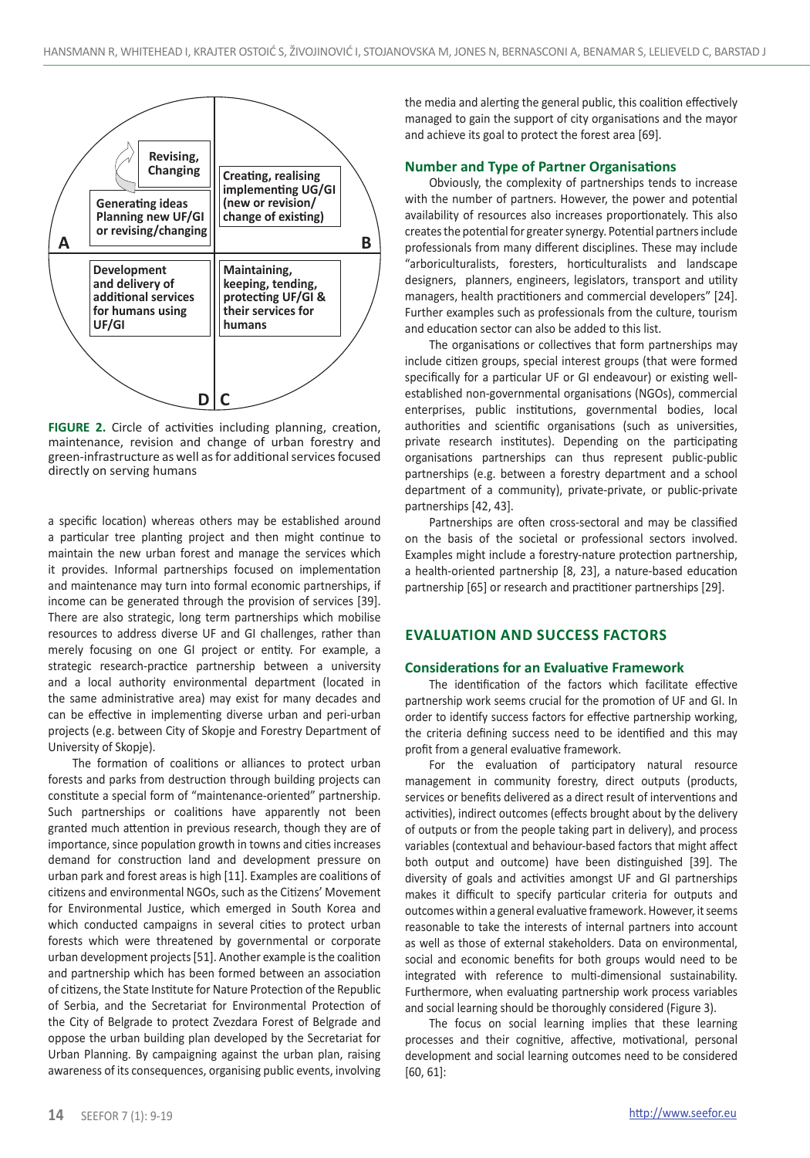

**FIGURE 2.** Circle of activities including planning, creation, maintenance, revision and change of urban forestry and green-infrastructure as well as for additional services focused directly on serving humans

a specific location) whereas others may be established around a particular tree planting project and then might continue to maintain the new urban forest and manage the services which it provides. Informal partnerships focused on implementation and maintenance may turn into formal economic partnerships, if income can be generated through the provision of services [39]. There are also strategic, long term partnerships which mobilise resources to address diverse UF and GI challenges, rather than merely focusing on one GI project or entity. For example, a strategic research-practice partnership between a university and a local authority environmental department (located in the same administrative area) may exist for many decades and can be effective in implementing diverse urban and peri-urban projects (e.g. between City of Skopje and Forestry Department of University of Skopje).

The formation of coalitions or alliances to protect urban forests and parks from destruction through building projects can constitute a special form of "maintenance-oriented" partnership. Such partnerships or coalitions have apparently not been granted much attention in previous research, though they are of importance, since population growth in towns and cities increases demand for construction land and development pressure on urban park and forest areas is high [11]. Examples are coalitions of citizens and environmental NGOs, such as the Citizens' Movement for Environmental Justice, which emerged in South Korea and which conducted campaigns in several cities to protect urban forests which were threatened by governmental or corporate urban development projects [51]. Another example is the coalition and partnership which has been formed between an association of citizens, the State Institute for Nature Protection of the Republic of Serbia, and the Secretariat for Environmental Protection of the City of Belgrade to protect Zvezdara Forest of Belgrade and oppose the urban building plan developed by the Secretariat for Urban Planning. By campaigning against the urban plan, raising awareness of its consequences, organising public events, involving the media and alerting the general public, this coalition effectively managed to gain the support of city organisations and the mayor and achieve its goal to protect the forest area [69].

# **Number and Type of Partner Organisations**

Obviously, the complexity of partnerships tends to increase with the number of partners. However, the power and potential availability of resources also increases proportionately. This also creates the potential for greater synergy. Potential partners include professionals from many different disciplines. These may include "arboriculturalists, foresters, horticulturalists and landscape designers, planners, engineers, legislators, transport and utility managers, health practitioners and commercial developers" [24]. Further examples such as professionals from the culture, tourism and education sector can also be added to this list.

The organisations or collectives that form partnerships may include citizen groups, special interest groups (that were formed specifically for a particular UF or GI endeavour) or existing wellestablished non-governmental organisations (NGOs), commercial enterprises, public institutions, governmental bodies, local authorities and scientific organisations (such as universities, private research institutes). Depending on the participating organisations partnerships can thus represent public-public partnerships (e.g. between a forestry department and a school department of a community), private-private, or public-private partnerships [42, 43].

Partnerships are often cross-sectoral and may be classified on the basis of the societal or professional sectors involved. Examples might include a forestry-nature protection partnership, a health-oriented partnership [8, 23], a nature-based education partnership [65] or research and practitioner partnerships [29].

# **Evaluation and success factors**

#### **Considerations for an Evaluative Framework**

The identification of the factors which facilitate effective partnership work seems crucial for the promotion of UF and GI. In order to identify success factors for effective partnership working, the criteria defining success need to be identified and this may profit from a general evaluative framework.

For the evaluation of participatory natural resource management in community forestry, direct outputs (products, services or benefits delivered as a direct result of interventions and activities), indirect outcomes (effects brought about by the delivery of outputs or from the people taking part in delivery), and process variables (contextual and behaviour-based factors that might affect both output and outcome) have been distinguished [39]. The diversity of goals and activities amongst UF and GI partnerships makes it difficult to specify particular criteria for outputs and outcomes within a general evaluative framework. However, it seems reasonable to take the interests of internal partners into account as well as those of external stakeholders. Data on environmental, social and economic benefits for both groups would need to be integrated with reference to multi-dimensional sustainability. Furthermore, when evaluating partnership work process variables and social learning should be thoroughly considered (Figure 3).

The focus on social learning implies that these learning processes and their cognitive, affective, motivational, personal development and social learning outcomes need to be considered [60, 61]: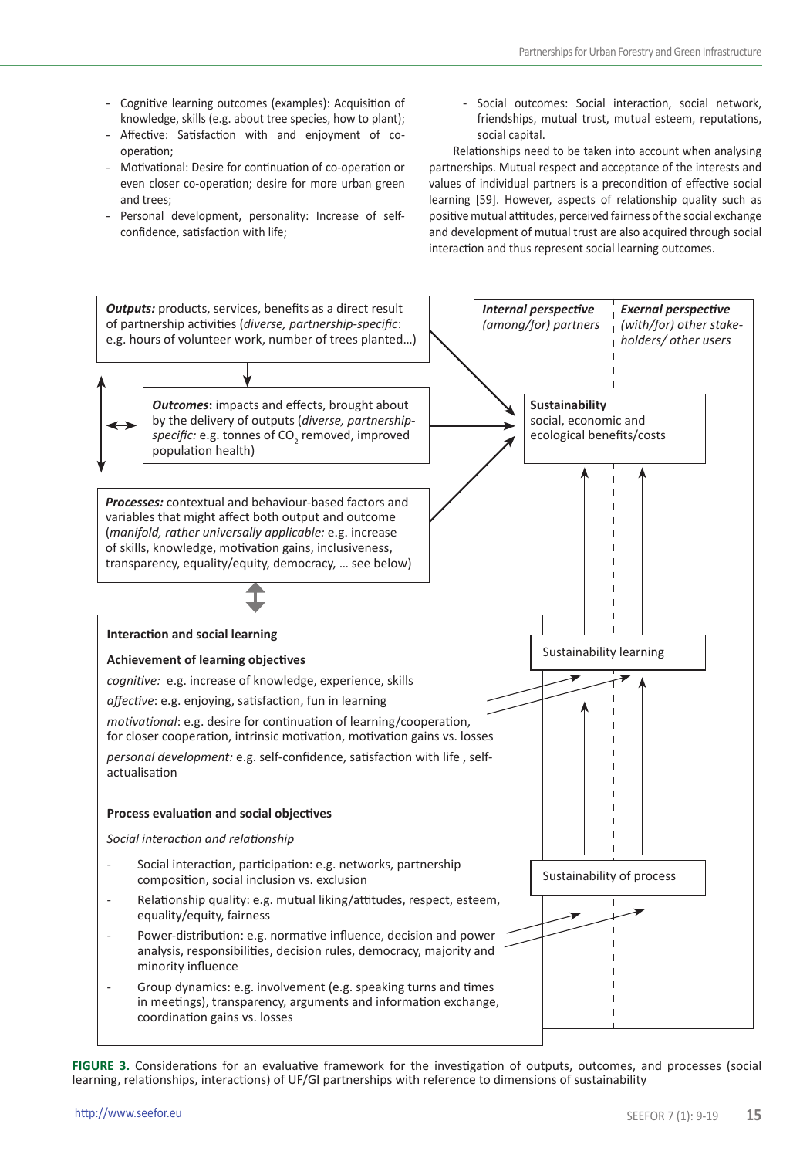- Cognitive learning outcomes (examples): Acquisition of knowledge, skills (e.g. about tree species, how to plant);
- Affective: Satisfaction with and enjoyment of cooperation;
- Motivational: Desire for continuation of co-operation or even closer co-operation; desire for more urban green and trees;
- Personal development, personality: Increase of selfconfidence, satisfaction with life;
- Social outcomes: Social interaction, social network, friendships, mutual trust, mutual esteem, reputations, social capital.

Relationships need to be taken into account when analysing partnerships. Mutual respect and acceptance of the interests and values of individual partners is a precondition of effective social learning [59]. However, aspects of relationship quality such as positive mutual attitudes, perceived fairness of the social exchange and development of mutual trust are also acquired through social interaction and thus represent social learning outcomes.



**FIGURE 3.** Considerations for an evaluative framework for the investigation of outputs, outcomes, and processes (social learning, relationships, interactions) of UF/GI partnerships with reference to dimensions of sustainability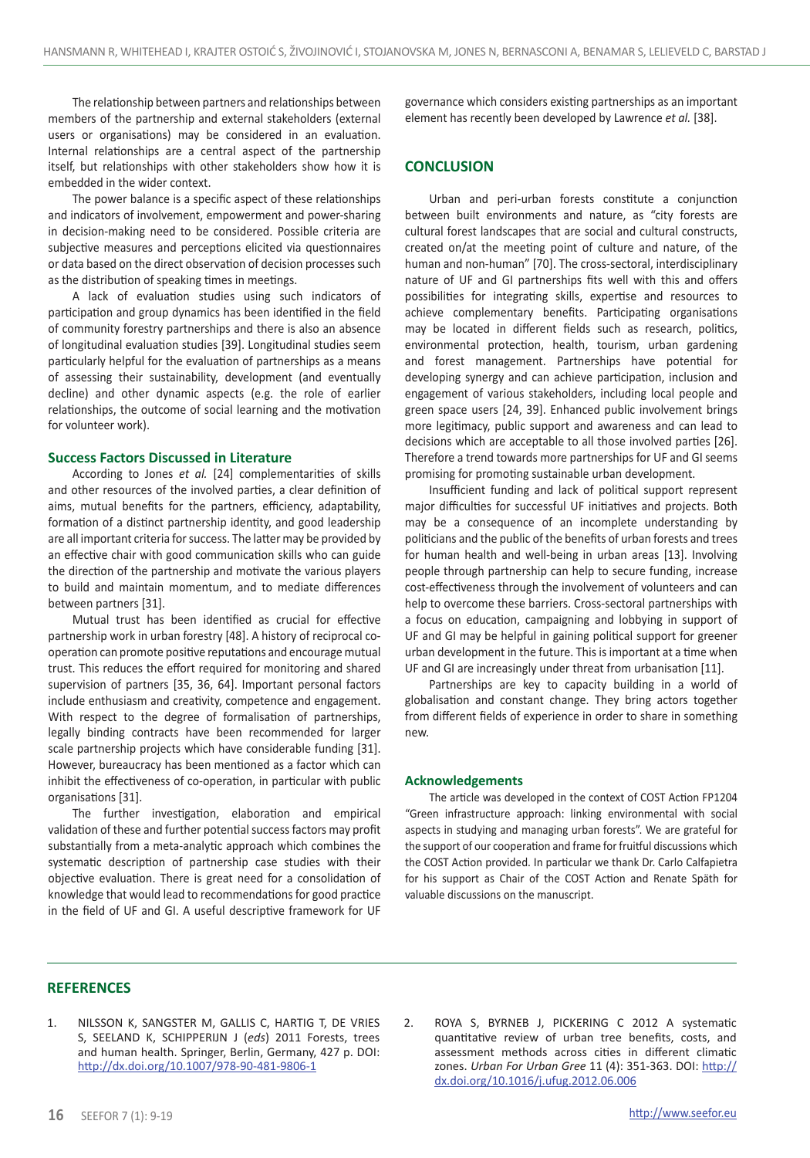The relationship between partners and relationships between members of the partnership and external stakeholders (external users or organisations) may be considered in an evaluation. Internal relationships are a central aspect of the partnership itself, but relationships with other stakeholders show how it is embedded in the wider context.

The power balance is a specific aspect of these relationships and indicators of involvement, empowerment and power-sharing in decision-making need to be considered. Possible criteria are subjective measures and perceptions elicited via questionnaires or data based on the direct observation of decision processes such as the distribution of speaking times in meetings.

A lack of evaluation studies using such indicators of participation and group dynamics has been identified in the field of community forestry partnerships and there is also an absence of longitudinal evaluation studies [39]. Longitudinal studies seem particularly helpful for the evaluation of partnerships as a means of assessing their sustainability, development (and eventually decline) and other dynamic aspects (e.g. the role of earlier relationships, the outcome of social learning and the motivation for volunteer work).

#### **Success Factors Discussed in Literature**

According to Jones *et al.* [24] complementarities of skills and other resources of the involved parties, a clear definition of aims, mutual benefits for the partners, efficiency, adaptability, formation of a distinct partnership identity, and good leadership are all important criteria for success. The latter may be provided by an effective chair with good communication skills who can guide the direction of the partnership and motivate the various players to build and maintain momentum, and to mediate differences between partners [31].

Mutual trust has been identified as crucial for effective partnership work in urban forestry [48]. A history of reciprocal cooperation can promote positive reputations and encourage mutual trust. This reduces the effort required for monitoring and shared supervision of partners [35, 36, 64]. Important personal factors include enthusiasm and creativity, competence and engagement. With respect to the degree of formalisation of partnerships, legally binding contracts have been recommended for larger scale partnership projects which have considerable funding [31]. However, bureaucracy has been mentioned as a factor which can inhibit the effectiveness of co-operation, in particular with public organisations [31].

The further investigation, elaboration and empirical validation of these and further potential success factors may profit substantially from a meta-analytic approach which combines the systematic description of partnership case studies with their objective evaluation. There is great need for a consolidation of knowledge that would lead to recommendations for good practice in the field of UF and GI. A useful descriptive framework for UF

governance which considers existing partnerships as an important element has recently been developed by Lawrence *et al.* [38].

# **CONCLUSION**

Urban and peri-urban forests constitute a conjunction between built environments and nature, as "city forests are cultural forest landscapes that are social and cultural constructs, created on/at the meeting point of culture and nature, of the human and non-human" [70]. The cross-sectoral, interdisciplinary nature of UF and GI partnerships fits well with this and offers possibilities for integrating skills, expertise and resources to achieve complementary benefits. Participating organisations may be located in different fields such as research, politics, environmental protection, health, tourism, urban gardening and forest management. Partnerships have potential for developing synergy and can achieve participation, inclusion and engagement of various stakeholders, including local people and green space users [24, 39]. Enhanced public involvement brings more legitimacy, public support and awareness and can lead to decisions which are acceptable to all those involved parties [26]. Therefore a trend towards more partnerships for UF and GI seems promising for promoting sustainable urban development.

Insufficient funding and lack of political support represent major difficulties for successful UF initiatives and projects. Both may be a consequence of an incomplete understanding by politicians and the public of the benefits of urban forests and trees for human health and well-being in urban areas [13]. Involving people through partnership can help to secure funding, increase cost-effectiveness through the involvement of volunteers and can help to overcome these barriers. Cross-sectoral partnerships with a focus on education, campaigning and lobbying in support of UF and GI may be helpful in gaining political support for greener urban development in the future. This is important at a time when UF and GI are increasingly under threat from urbanisation [11].

Partnerships are key to capacity building in a world of globalisation and constant change. They bring actors together from different fields of experience in order to share in something new.

#### **Acknowledgements**

The article was developed in the context of COST Action FP1204 "Green infrastructure approach: linking environmental with social aspects in studying and managing urban forests". We are grateful for the support of our cooperation and frame for fruitful discussions which the COST Action provided. In particular we thank Dr. Carlo Calfapietra for his support as Chair of the COST Action and Renate Späth for valuable discussions on the manuscript.

## **REFERENCES**

1. NILSSON K, SANGSTER M, GALLIS C, HARTIG T, DE VRIES S, SEELAND K, SCHIPPERIJN J (*eds*) 2011 Forests, trees and human health. Springer, Berlin, Germany, 427 p. DOI: http://dx.doi.org/10.1007/978-90-481-9806-1

2. ROYA S, BYRNEB J, PICKERING C 2012 A systematic quantitative review of urban tree benefits, costs, and assessment methods across cities in different climatic zones. *Urban For Urban Gree* 11 (4): 351-363. DOI: http:// dx.doi.org/10.1016/j.ufug.2012.06.006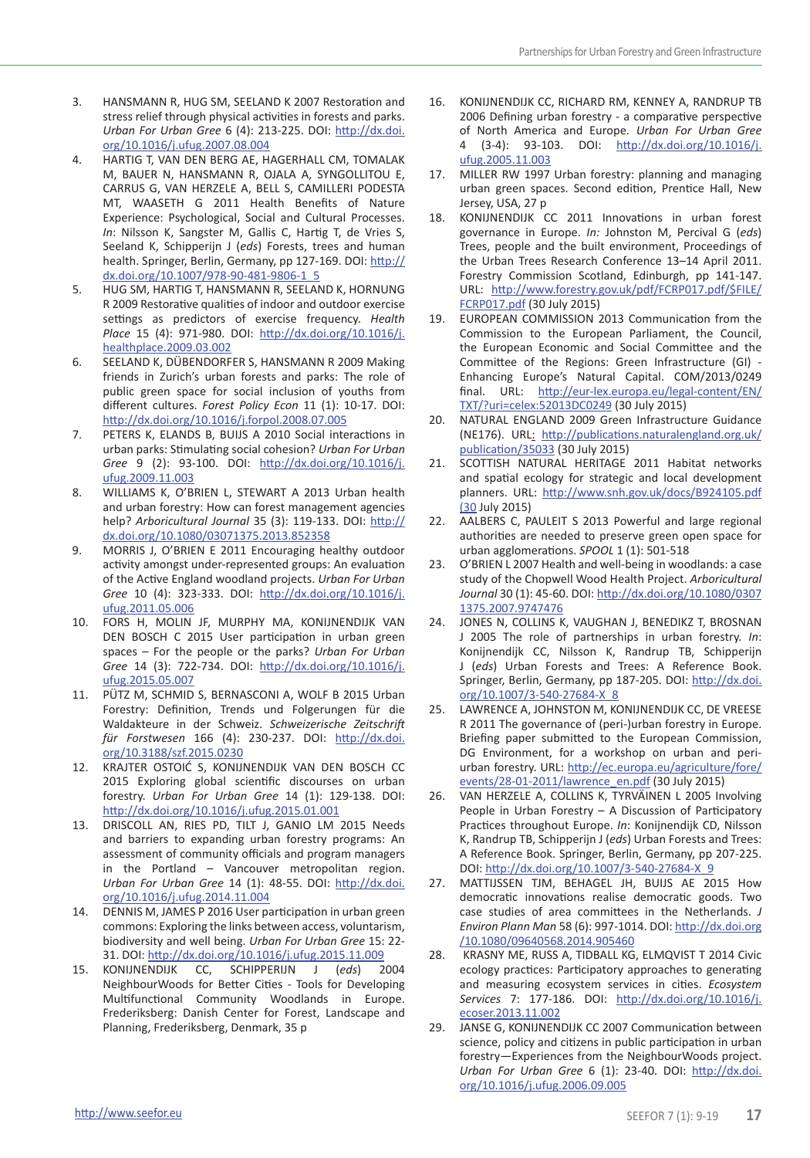- 3. HANSMANN R, HUG SM, SEELAND K 2007 Restoration and stress relief through physical activities in forests and parks. *Urban For Urban Gree* 6 (4): 213-225. DOI: http://dx.doi. org/10.1016/j.ufug.2007.08.004
- 4. HARTIG T, VAN DEN BERG AE, HAGERHALL CM, TOMALAK M, BAUER N, HANSMANN R, OJALA A, SYNGOLLITOU E, CARRUS G, VAN HERZELE A, BELL S, CAMILLERI PODESTA MT, WAASETH G 2011 Health Benefits of Nature Experience: Psychological, Social and Cultural Processes. *In*: Nilsson K, Sangster M, Gallis C, Hartig T, de Vries S, Seeland K, Schipperijn J (*eds*) Forests, trees and human health. Springer, Berlin, Germany, pp 127-169. DOI: http:// dx.doi.org/10.1007/978-90-481-9806-1\_5
- 5. HUG SM, HARTIG T, HANSMANN R, SEELAND K, HORNUNG R 2009 Restorative qualities of indoor and outdoor exercise settings as predictors of exercise frequency. *Health Place* 15 (4): 971-980. DOI: http://dx.doi.org/10.1016/j. healthplace.2009.03.002
- 6. SEELAND K, DÜBENDORFER S, HANSMANN R 2009 Making friends in Zurich's urban forests and parks: The role of public green space for social inclusion of youths from different cultures. *Forest Policy Econ* 11 (1): 10-17. DOI: http://dx.doi.org/10.1016/j.forpol.2008.07.005
- 7. PETERS K, ELANDS B, BUIJS A 2010 Social interactions in urban parks: Stimulating social cohesion? *Urban For Urban Gree* 9 (2): 93-100. DOI: http://dx.doi.org/10.1016/j. ufug.2009.11.003
- 8. WILLIAMS K, O'BRIEN L, STEWART A 2013 Urban health and urban forestry: How can forest management agencies help? *Arboricultural Journal* 35 (3): 119-133. DOI: http:// dx.doi.org/10.1080/03071375.2013.852358
- 9. MORRIS J, O'BRIEN E 2011 Encouraging healthy outdoor activity amongst under-represented groups: An evaluation of the Active England woodland projects. *Urban For Urban Gree* 10 (4): 323-333. DOI: http://dx.doi.org/10.1016/j. ufug.2011.05.006
- 10. Fors H, Molin JF, Murphy MA, Konijnendijk van DEN BOSCH C 2015 User participation in urban green spaces – For the people or the parks? *Urban For Urban Gree* 14 (3): 722-734. DOI: http://dx.doi.org/10.1016/j. ufug.2015.05.007
- 11. Pütz M, Schmid S, Bernasconi A, Wolf B 2015 Urban Forestry: Definition, Trends und Folgerungen für die Waldakteure in der Schweiz. *Schweizerische Zeitschrift für Forstwesen* 166 (4): 230-237. DOI: http://dx.doi. org/10.3188/szf.2015.0230
- 12. Krajter OstoiĆ S, Konijnendijk van den Bosch CC 2015 Exploring global scientific discourses on urban forestry. *Urban For Urban Gree* 14 (1): 129-138. DOI: http://dx.doi.org/10.1016/j.ufug.2015.01.001
- 13. Driscoll AN, Ries PD, Tilt J, Ganio LM 2015 Needs and barriers to expanding urban forestry programs: An assessment of community officials and program managers in the Portland – Vancouver metropolitan region. *Urban For Urban Gree* 14 (1): 48-55. DOI: http://dx.doi. org/10.1016/j.ufug.2014.11.004
- 14. Dennis M, James P 2016 User participation in urban green commons: Exploring the links between access, voluntarism, biodiversity and well being. *Urban For Urban Gree* 15: 22- 31. DOI: http://dx.doi.org/10.1016/j.ufug.2015.11.009
- 15. KONIJNENDIJK CC, SCHIPPERIJN J (*eds*) 2004 NeighbourWoods for Better Cities - Tools for Developing Multifunctional Community Woodlands in Europe. Frederiksberg: Danish Center for Forest, Landscape and Planning, Frederiksberg, Denmark, 35 p
- 16. KONIJNENDIJK CC, RICHARD RM, KENNEY A, RANDRUP TB 2006 Defining urban forestry - a comparative perspective of North America and Europe. *Urban For Urban Gree*  4 (3-4): 93-103. DOI: http://dx.doi.org/10.1016/j. ufug.2005.11.003
- 17. MILLER RW 1997 Urban forestry: planning and managing urban green spaces. Second edition, Prentice Hall, New Jersey, USA, 27 p
- 18. KONIJNENDIJK CC 2011 Innovations in urban forest governance in Europe. *In:* Johnston M, Percival G (*eds*) Trees, people and the built environment, Proceedings of the Urban Trees Research Conference 13–14 April 2011. Forestry Commission Scotland, Edinburgh, pp 141-147. URL: http://www.forestry.gov.uk/pdf/FCRP017.pdf/\$FILE/ FCRP017.pdf (30 July 2015)
- 19. EUROPEAN COMMISSION 2013 Communication from the Commission to the European Parliament, the Council, the European Economic and Social Committee and the Committee of the Regions: Green Infrastructure (GI) - Enhancing Europe's Natural Capital. COM/2013/0249 final. URL: http://eur-lex.europa.eu/legal-content/EN/ TXT/?uri=celex:52013DC0249 (30 July 2015)
- 20. NATURAL ENGLAND 2009 Green Infrastructure Guidance (NE176). URL: http://publications.naturalengland.org.uk/ publication/35033 (30 July 2015)
- 21. SCOTTISH NATURAL HERITAGE 2011 Habitat networks and spatial ecology for strategic and local development planners. URL: http://www.snh.gov.uk/docs/B924105.pdf (30 July 2015)
- 22. AALBERS C, PAULEIT S 2013 Powerful and large regional authorities are needed to preserve green open space for urban agglomerations. *SPOOL* 1 (1): 501-518
- 23. O'BRIEN L 2007 Health and well-being in woodlands: a case study of the Chopwell Wood Health Project. *Arboricultural Journal* 30 (1): 45-60. DOI: http://dx.doi.org/10.1080/0307 1375.2007.9747476
- 24. JONES N, COLLINS K, VAUGHAN J, BENEDIKZ T, BROSNAN J 2005 The role of partnerships in urban forestry. *In*: Konijnendijk CC, Nilsson K, Randrup TB, Schipperijn J (*eds*) Urban Forests and Trees: A Reference Book. Springer, Berlin, Germany, pp 187-205. DOI: http://dx.doi. org/10.1007/3-540-27684-X\_8
- 25. LAWRENCE A, JOHNSTON M, KONIJNENDIJK CC, DE VREESE R 2011 The governance of (peri-)urban forestry in Europe. Briefing paper submitted to the European Commission, DG Environment, for a workshop on urban and periurban forestry. URL: http://ec.europa.eu/agriculture/fore/ events/28-01-2011/lawrence\_en.pdf (30 July 2015)
- 26. VAN HERZELE A, COLLINS K, TYRVÄINEN L 2005 Involving People in Urban Forestry – A Discussion of Participatory Practices throughout Europe. *In*: Konijnendijk CD, Nilsson K, Randrup TB, Schipperijn J (*eds*) Urban Forests and Trees: A Reference Book. Springer, Berlin, Germany, pp 207-225. DOI: http://dx.doi.org/10.1007/3-540-27684-X\_9
- 27. Mattijssen TJM, Behagel JH, Buijs AE 2015 How democratic innovations realise democratic goods. Two case studies of area committees in the Netherlands. *J Environ Plann Man* 58 (6): 997-1014. DOI: http://dx.doi.org /10.1080/09640568.2014.905460
- 28. Krasny ME, Russ A, Tidball KG, Elmqvist T 2014 Civic ecology practices: Participatory approaches to generating and measuring ecosystem services in cities. *Ecosystem Services* 7: 177-186. DOI: http://dx.doi.org/10.1016/j. ecoser.2013.11.002
- 29. JANSE G, KONIJNENDIJK CC 2007 Communication between science, policy and citizens in public participation in urban forestry—Experiences from the NeighbourWoods project. *Urban For Urban Gree* 6 (1): 23-40. DOI: http://dx.doi. org/10.1016/j.ufug.2006.09.005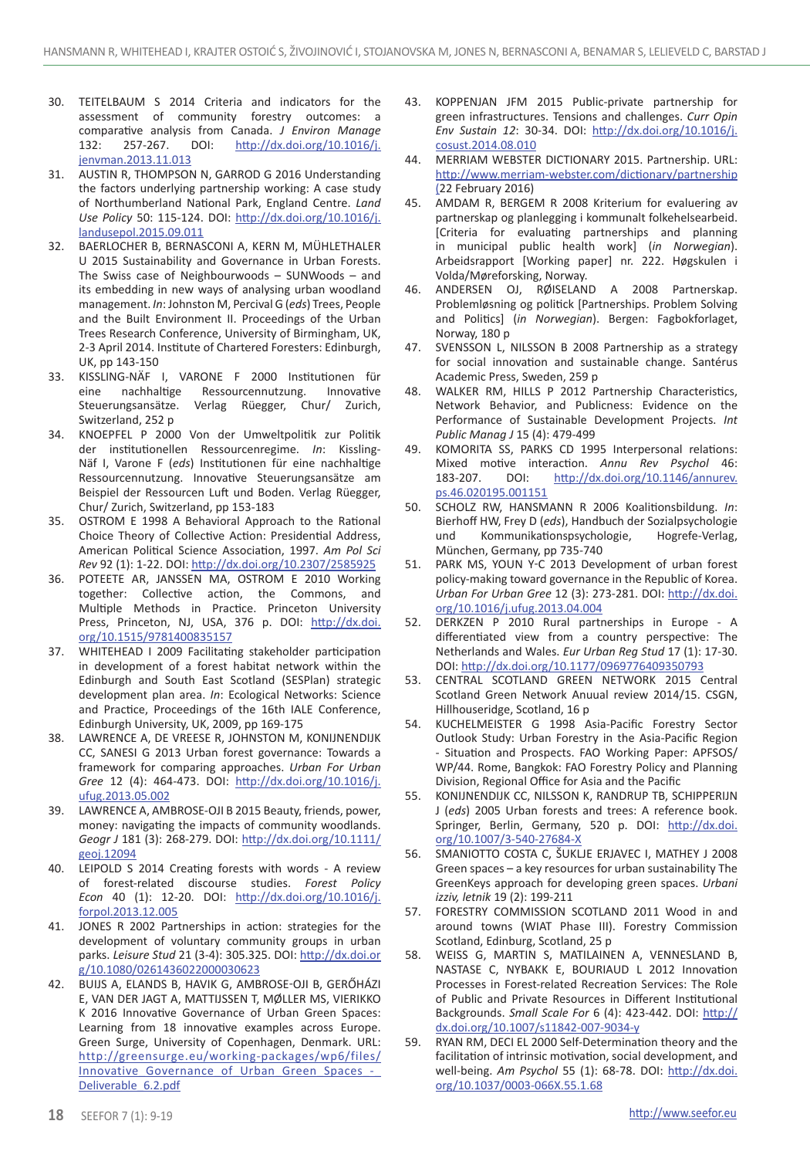- 30. Teitelbaum S 2014 Criteria and indicators for the assessment of community forestry outcomes: a comparative analysis from Canada. *J Environ Manage* 132: 257-267. DOI: http://dx.doi.org/10.1016/j. jenvman.2013.11.013
- 31. Austin R, Thompson N, Garrod G 2016 Understanding the factors underlying partnership working: A case study of Northumberland National Park, England Centre. *Land Use Policy* 50: 115-124. DOI: http://dx.doi.org/10.1016/j. landusepol.2015.09.011
- 32. BAERLOCHER B, BERNASCONI A, KERN M, MÜHLETHALER U 2015 Sustainability and Governance in Urban Forests. The Swiss case of Neighbourwoods – SUNWoods – and its embedding in new ways of analysing urban woodland management. *In*: Johnston M, Percival G (*eds*) Trees, People and the Built Environment II. Proceedings of the Urban Trees Research Conference, University of Birmingham, UK, 2-3 April 2014. Institute of Chartered Foresters: Edinburgh, UK, pp 143-150
- 33. KISSLING-NÄF I, VARONE F 2000 Institutionen für eine nachhaltige Ressourcennutzung. Innovative Steuerungsansätze. Verlag Rüegger, Chur/ Zurich, Switzerland, 252 p.
- 34. KNOEPFEL P 2000 Von der Umweltpolitik zur Politik der institutionellen Ressourcenregime. *In*: Kissling-Näf I, Varone F (*eds*) Institutionen für eine nachhaltige Ressourcennutzung. Innovative Steuerungsansätze am Beispiel der Ressourcen Luft und Boden. Verlag Rüegger, Chur/ Zurich, Switzerland, pp 153-183
- 35. OSTROM E 1998 A Behavioral Approach to the Rational Choice Theory of Collective Action: Presidential Address, American Political Science Association, 1997. *Am Pol Sci Rev* 92 (1): 1-22. DOI: http://dx.doi.org/10.2307/2585925
- 36. POTEETE AR, JANSSEN MA, OSTROM E 2010 Working together: Collective action, the Commons, and Multiple Methods in Practice. Princeton University Press, Princeton, NJ, USA, 376 p. DOI: http://dx.doi. org/10.1515/9781400835157
- 37. WHITEHEAD I 2009 Facilitating stakeholder participation in development of a forest habitat network within the Edinburgh and South East Scotland (SESPlan) strategic development plan area. *In*: Ecological Networks: Science and Practice, Proceedings of the 16th IALE Conference, Edinburgh University, UK, 2009, pp 169-175
- 38. LAWRENCE A, DE VREESE R, JOHNSTON M, KONIJNENDIJK CC, SANESI G 2013 Urban forest governance: Towards a framework for comparing approaches. *Urban For Urban Gree* 12 (4): 464-473. DOI: http://dx.doi.org/10.1016/j. ufug.2013.05.002
- 39. LAWRENCE A, AMBROSE-OJI B 2015 Beauty, friends, power, money: navigating the impacts of community woodlands. *Geogr J* 181 (3): 268-279. DOI: http://dx.doi.org/10.1111/ geoj.12094
- 40. LEIPOLD S 2014 Creating forests with words A review of forest-related discourse studies. *Forest Policy Econ* 40 (1): 12-20. DOI: http://dx.doi.org/10.1016/j. forpol.2013.12.005
- 41. Jones R 2002 Partnerships in action: strategies for the development of voluntary community groups in urban parks. *Leisure Stud* 21 (3-4): 305.325. DOI: http://dx.doi.or g/10.1080/0261436022000030623
- 42. Buijs A, Elands B, Havik G, Ambrose-Oji B, Gerőházi E, van der Jagt A, Mattijssen T, Møller MS, Vierikko K 2016 Innovative Governance of Urban Green Spaces: Learning from 18 innovative examples across Europe. Green Surge, University of Copenhagen, Denmark. URL: http://greensurge.eu/working-packages/wp6/files/ Innovative\_Governance\_of\_Urban\_Green\_Spaces\_-\_ Deliverable\_6.2.pdf
- 43. KOPPENJAN JFM 2015 Public-private partnership for green infrastructures. Tensions and challenges. *Curr Opin Env Sustain 12*: 30-34. DOI: http://dx.doi.org/10.1016/j. cosust.2014.08.010
- 44. MERRIAM WEBSTER DICTIONARY 2015. Partnership. URL: http://www.merriam-webster.com/dictionary/partnership (22 February 2016)
- 45. AMDAM R, BERGEM R 2008 Kriterium for evaluering av partnerskap og planlegging i kommunalt folkehelsearbeid. [Criteria for evaluating partnerships and planning in municipal public health work] (*in Norwegian*). Arbeidsrapport [Working paper] nr. 222. Høgskulen i Volda/Møreforsking, Norway.
- 46. ANDERSEN OJ, RØISELAND A 2008 Partnerskap. Problemløsning og politick [Partnerships. Problem Solving and Politics] (*in Norwegian*). Bergen: Fagbokforlaget, Norway, 180 p
- 47. SVENSSON L, NILSSON B 2008 Partnership as a strategy for social innovation and sustainable change. Santérus Academic Press, Sweden, 259 p
- 48. Walker RM, Hills P 2012 Partnership Characteristics, Network Behavior, and Publicness: Evidence on the Performance of Sustainable Development Projects. *Int Public Manag J* 15 (4): 479-499
- 49. KOMORITA SS, PARKS CD 1995 Interpersonal relations: Mixed motive interaction. *Annu Rev Psychol* 46: 183-207. DOI: http://dx.doi.org/10.1146/annurev. ps.46.020195.001151
- 50. SCHOLZ RW, HANSMANN R 2006 Koalitionsbildung. *In*: Bierhoff HW, Frey D (*eds*), Handbuch der Sozialpsychologie und Kommunikationspsychologie, Hogrefe-Verlag, München, Germany, pp 735-740
- 51. PARK MS, Youn Y-C 2013 Development of urban forest policy-making toward governance in the Republic of Korea. *Urban For Urban Gree* 12 (3): 273-281. DOI: http://dx.doi. org/10.1016/j.ufug.2013.04.004
- 52. Derkzen P 2010 Rural partnerships in Europe A differentiated view from a country perspective: The Netherlands and Wales. *Eur Urban Reg Stud* 17 (1): 17-30. DOI: http://dx.doi.org/10.1177/0969776409350793
- 53. Central Scotland Green Network 2015 Central Scotland Green Network Anuual review 2014/15. CSGN, Hillhouseridge, Scotland, 16 p
- 54. KUCHELMEISTER G 1998 Asia-Pacific Forestry Sector Outlook Study: Urban Forestry in the Asia-Pacific Region - Situation and Prospects. FAO Working Paper: APFSOS/ WP/44. Rome, Bangkok: FAO Forestry Policy and Planning Division, Regional Office for Asia and the Pacific
- 55. KONIJNENDIJK CC, NILSSON K, RANDRUP TB, SCHIPPERIJN J (*eds*) 2005 Urban forests and trees: A reference book. Springer, Berlin, Germany, 520 p. DOI: http://dx.doi. org/10.1007/3-540-27684-X
- 56. SMANIOTTO COSTA C, ŠUKLJE ERJAVEC I, MATHEY J 2008 Green spaces – a key resources for urban sustainability The GreenKeys approach for developing green spaces. *Urbani izziv, letnik* 19 (2): 199-211
- 57. Forestry Commission Scotland 2011 Wood in and around towns (WIAT Phase III). Forestry Commission Scotland, Edinburg, Scotland, 25 p
- 58. WEISS G, MARTIN S, MATILAINEN A, VENNESLAND B, NASTASE C, NYBAKK E, BOURIAUD L 2012 Innovation Processes in Forest-related Recreation Services: The Role of Public and Private Resources in Different Institutional Backgrounds. *Small Scale For* 6 (4): 423-442. DOI: http:// dx.doi.org/10.1007/s11842-007-9034-y
- 59. RYAN RM, DECI EL 2000 Self-Determination theory and the facilitation of intrinsic motivation, social development, and well-being. *Am Psychol* 55 (1): 68-78. DOI: http://dx.doi. org/10.1037/0003-066X.55.1.68